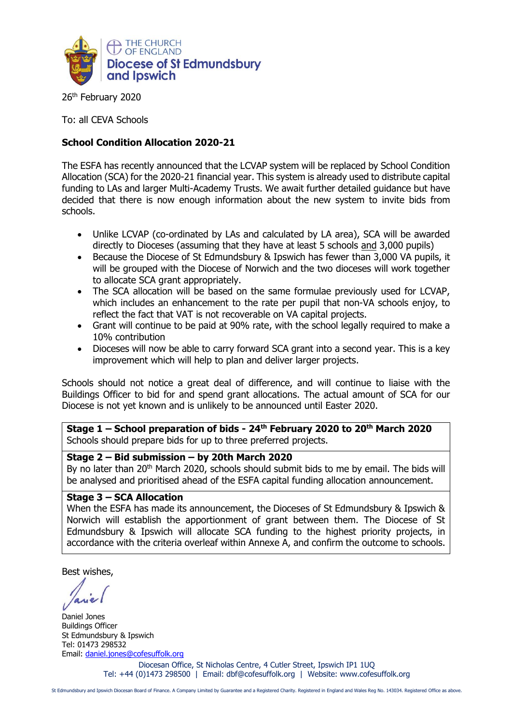

26<sup>th</sup> February 2020

To: all CEVA Schools

## **School Condition Allocation 2020-21**

The ESFA has recently announced that the LCVAP system will be replaced by School Condition Allocation (SCA) for the 2020-21 financial year. This system is already used to distribute capital funding to LAs and larger Multi-Academy Trusts. We await further detailed guidance but have decided that there is now enough information about the new system to invite bids from schools.

- Unlike LCVAP (co-ordinated by LAs and calculated by LA area), SCA will be awarded directly to Dioceses (assuming that they have at least 5 schools and 3,000 pupils)
- Because the Diocese of St Edmundsbury & Ipswich has fewer than 3,000 VA pupils, it will be grouped with the Diocese of Norwich and the two dioceses will work together to allocate SCA grant appropriately.
- The SCA allocation will be based on the same formulae previously used for LCVAP. which includes an enhancement to the rate per pupil that non-VA schools enjoy, to reflect the fact that VAT is not recoverable on VA capital projects.
- Grant will continue to be paid at 90% rate, with the school legally required to make a 10% contribution
- Dioceses will now be able to carry forward SCA grant into a second year. This is a key improvement which will help to plan and deliver larger projects.

Schools should not notice a great deal of difference, and will continue to liaise with the Buildings Officer to bid for and spend grant allocations. The actual amount of SCA for our Diocese is not yet known and is unlikely to be announced until Easter 2020.

**Stage 1 – School preparation of bids - 24 th February 2020 to 20th March 2020** Schools should prepare bids for up to three preferred projects.

## **Stage 2 – Bid submission – by 20th March 2020**

By no later than 20<sup>th</sup> March 2020, schools should submit bids to me by email. The bids will be analysed and prioritised ahead of the ESFA capital funding allocation announcement.

## **Stage 3 – SCA Allocation**

When the ESFA has made its announcement, the Dioceses of St Edmundsbury & Ipswich & Norwich will establish the apportionment of grant between them. The Diocese of St Edmundsbury & Ipswich will allocate SCA funding to the highest priority projects, in accordance with the criteria overleaf within Annexe A, and confirm the outcome to schools.

Best wishes,

Daniel Jones Buildings Officer St Edmundsbury & Ipswich Tel: 01473 298532 Email: [daniel.jones@cofesuffolk.org](mailto:daniel.jones@cofesuffolk.org)

Diocesan Office, St Nicholas Centre, 4 Cutler Street, Ipswich IP1 1UQ Tel: +44 (0)1473 298500 | Email: dbf@cofesuffolk.org | Website: www.cofesuffolk.org